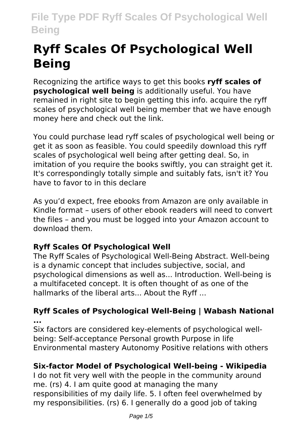# **Ryff Scales Of Psychological Well Being**

Recognizing the artifice ways to get this books **ryff scales of psychological well being** is additionally useful. You have remained in right site to begin getting this info. acquire the ryff scales of psychological well being member that we have enough money here and check out the link.

You could purchase lead ryff scales of psychological well being or get it as soon as feasible. You could speedily download this ryff scales of psychological well being after getting deal. So, in imitation of you require the books swiftly, you can straight get it. It's correspondingly totally simple and suitably fats, isn't it? You have to favor to in this declare

As you'd expect, free ebooks from Amazon are only available in Kindle format – users of other ebook readers will need to convert the files – and you must be logged into your Amazon account to download them.

### **Ryff Scales Of Psychological Well**

The Ryff Scales of Psychological Well-Being Abstract. Well-being is a dynamic concept that includes subjective, social, and psychological dimensions as well as... Introduction. Well-being is a multifaceted concept. It is often thought of as one of the hallmarks of the liberal arts... About the Ryff ...

#### **Ryff Scales of Psychological Well-Being | Wabash National ...**

Six factors are considered key-elements of psychological wellbeing: Self-acceptance Personal growth Purpose in life Environmental mastery Autonomy Positive relations with others

### **Six-factor Model of Psychological Well-being - Wikipedia**

I do not fit very well with the people in the community around me. (rs) 4. I am quite good at managing the many responsibilities of my daily life. 5. I often feel overwhelmed by my responsibilities. (rs) 6. I generally do a good job of taking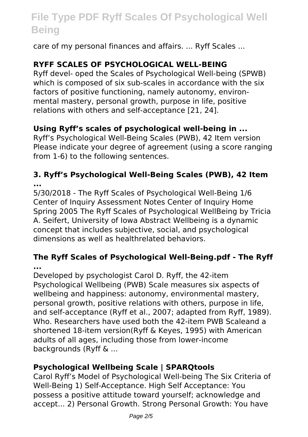care of my personal finances and affairs. ... Ryff Scales ...

### **RYFF SCALES OF PSYCHOLOGICAL WELL-BEING**

Ryff devel- oped the Scales of Psychological Well-being (SPWB) which is composed of six sub-scales in accordance with the six factors of positive functioning, namely autonomy, environmental mastery, personal growth, purpose in life, positive relations with others and self-acceptance [21, 24].

#### **Using Ryff's scales of psychological well-being in ...**

Ryff's Psychological Well-Being Scales (PWB), 42 Item version Please indicate your degree of agreement (using a score ranging from 1-6) to the following sentences.

#### **3. Ryff's Psychological Well-Being Scales (PWB), 42 Item ...**

5/30/2018 - The Ryff Scales of Psychological Well-Being 1/6 Center of Inquiry Assessment Notes Center of Inquiry Home Spring 2005 The Ryff Scales of Psychological WellBeing by Tricia A. Seifert, University of Iowa Abstract Wellbeing is a dynamic concept that includes subjective, social, and psychological dimensions as well as healthrelated behaviors.

#### **The Ryff Scales of Psychological Well-Being.pdf - The Ryff ...**

Developed by psychologist Carol D. Ryff, the 42-item Psychological Wellbeing (PWB) Scale measures six aspects of wellbeing and happiness: autonomy, environmental mastery, personal growth, positive relations with others, purpose in life, and self-acceptance (Ryff et al., 2007; adapted from Ryff, 1989). Who. Researchers have used both the 42-item PWB Scaleand a shortened 18-item version(Ryff & Keyes, 1995) with American adults of all ages, including those from lower-income backgrounds (Ryff & ...

#### **Psychological Wellbeing Scale | SPARQtools**

Carol Ryff's Model of Psychological Well-being The Six Criteria of Well-Being 1) Self-Acceptance. High Self Acceptance: You possess a positive attitude toward yourself; acknowledge and accept... 2) Personal Growth. Strong Personal Growth: You have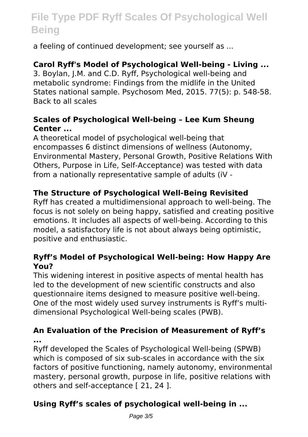a feeling of continued development; see yourself as ...

#### **Carol Ryff's Model of Psychological Well-being - Living ...**

3. Boylan, J.M. and C.D. Ryff, Psychological well-being and metabolic syndrome: Findings from the midlife in the United States national sample. Psychosom Med, 2015. 77(5): p. 548-58. Back to all scales

#### **Scales of Psychological Well-being – Lee Kum Sheung Center ...**

A theoretical model of psychological well-being that encompasses 6 distinct dimensions of wellness (Autonomy, Environmental Mastery, Personal Growth, Positive Relations With Others, Purpose in Life, Self-Acceptance) was tested with data from a nationally representative sample of adults (iV -

#### **The Structure of Psychological Well-Being Revisited**

Ryff has created a multidimensional approach to well-being. The focus is not solely on being happy, satisfied and creating positive emotions. It includes all aspects of well-being. According to this model, a satisfactory life is not about always being optimistic, positive and enthusiastic.

#### **Ryff's Model of Psychological Well-being: How Happy Are You?**

This widening interest in positive aspects of mental health has led to the development of new scientific constructs and also questionnaire items designed to measure positive well-being. One of the most widely used survey instruments is Ryff's multidimensional Psychological Well-being scales (PWB).

#### **An Evaluation of the Precision of Measurement of Ryff's ...**

Ryff developed the Scales of Psychological Well-being (SPWB) which is composed of six sub-scales in accordance with the six factors of positive functioning, namely autonomy, environmental mastery, personal growth, purpose in life, positive relations with others and self-acceptance [ 21, 24 ].

### **Using Ryff's scales of psychological well-being in ...**